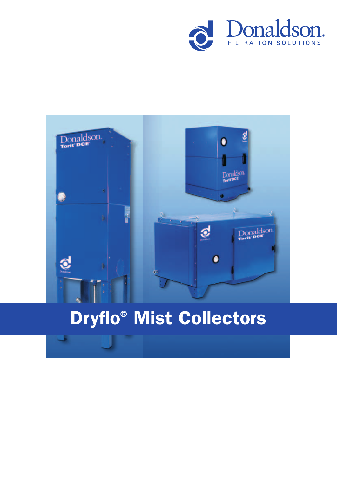



# Dryflo® Mist Collectors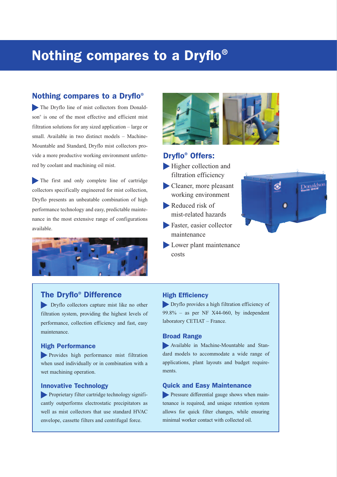# Nothing compares to a Dryflo®

### Nothing compares to a Dryflo®

The Dryflo line of mist collectors from Donaldson® is one of the most effective and efficient mist filtration solutions for any sized application – large or small. Available in two distinct models – Machine-Mountable and Standard, Dryflo mist collectors provide a more productive working environment unfettered by coolant and machining oil mist.

The first and only complete line of cartridge collectors specifically engineered for mist collection, Dryflo presents an unbeatable combination of high performance technology and easy, predictable maintenance in the most extensive range of configurations available.



# The Dryflo® Difference

Dryflo collectors capture mist like no other filtration system, providing the highest levels of performance, collection efficiency and fast, easy maintenance.

#### High Performance

Provides high performance mist filtration when used individually or in combination with a wet machining operation.

#### Innovative Technology

Proprietary filter cartridge technology significantly outperforms electrostatic precipitators as well as mist collectors that use standard HVAC envelope, cassette filters and centrifugal force.



# Dryflo® Offers:

- Higher collection and filtration efficiency
- Cleaner, more pleasant working environment
- Reduced risk of mist-related hazards
- Faster, easier collector maintenance
- Lower plant maintenance costs



#### High Efficiency

Dryflo provides a high filtration efficiency of 99.8% – as per NF X44-060, by independent laboratory CETIAT – France.

#### Broad Range

Available in Machine-Mountable and Standard models to accommodate a wide range of applications, plant layouts and budget requirements.

#### Quick and Easy Maintenance

**Pressure differential gauge shows when main**tenance is required, and unique retention system allows for quick filter changes, while ensuring minimal worker contact with collected oil.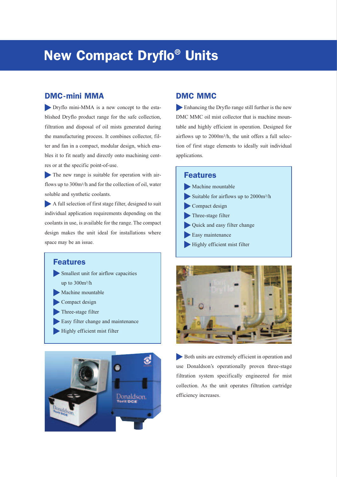# New Compact Dryflo® Units

## DMC-mini MMA

Dryflo mini-MMA is a new concept to the established Dryflo product range for the safe collection, filtration and disposal of oil mists generated during the manufacturing process. It combines collector, filter and fan in a compact, modular design, which enables it to fit neatly and directly onto machining centres or at the specific point-of-use.

The new range is suitable for operation with airflows up to 300m3/h and for the collection of oil, water soluble and synthetic coolants.

A full selection of first stage filter, designed to suit individual application requirements depending on the coolants in use, is available for the range. The compact design makes the unit ideal for installations where space may be an issue.

#### Features

- Smallest unit for airflow capacities up to 300m3/h
- Machine mountable
- Compact design
- Three-stage filter
- Easy filter change and maintenance
- Highly efficient mist filter



### DMC MMC

Enhancing the Dryflo range still further is the new DMC MMC oil mist collector that is machine mountable and highly efficient in operation. Designed for airflows up to 2000m3/h, the unit offers a full selection of first stage elements to ideally suit individual applications.

#### Features

| Machine mountable                       |
|-----------------------------------------|
| Suitable for airflows up to $2000m^3/h$ |
| Compact design                          |
| Three-stage filter                      |
| Quick and easy filter change            |
| Easy maintenance                        |
| Highly efficient mist filter            |



Both units are extremely efficient in operation and use Donaldson's operationally proven three-stage filtration system specifically engineered for mist collection. As the unit operates filtration cartridge efficiency increases.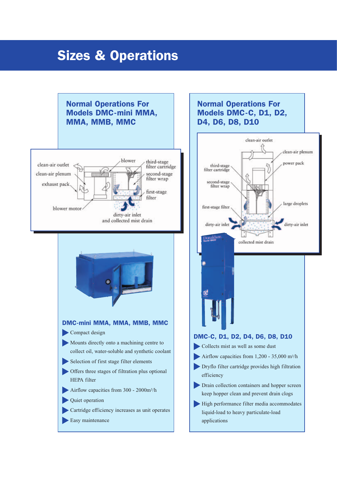# Sizes & Operations

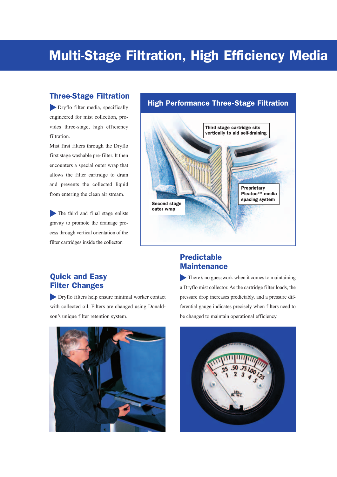# Multi-Stage Filtration, High Efficiency Media

### Three-Stage Filtration

Dryflo filter media, specifically engineered for mist collection, provides three-stage, high efficiency filtration.

Mist first filters through the Dryflo first stage washable pre-filter. It then encounters a special outer wrap that allows the filter cartridge to drain and prevents the collected liquid from entering the clean air stream.

The third and final stage enlists gravity to promote the drainage process through vertical orientation of the filter cartridges inside the collector.

# High Performance Three-Stage Filtration



# Quick and Easy Filter Changes

Dryflo filters help ensure minimal worker contact with collected oil. Filters are changed using Donaldson's unique filter retention system.



# Predictable **Maintenance**

There's no guesswork when it comes to maintaining a Dryflo mist collector. As the cartridge filter loads, the pressure drop increases predictably, and a pressure differential gauge indicates precisely when filters need to be changed to maintain operational efficiency.